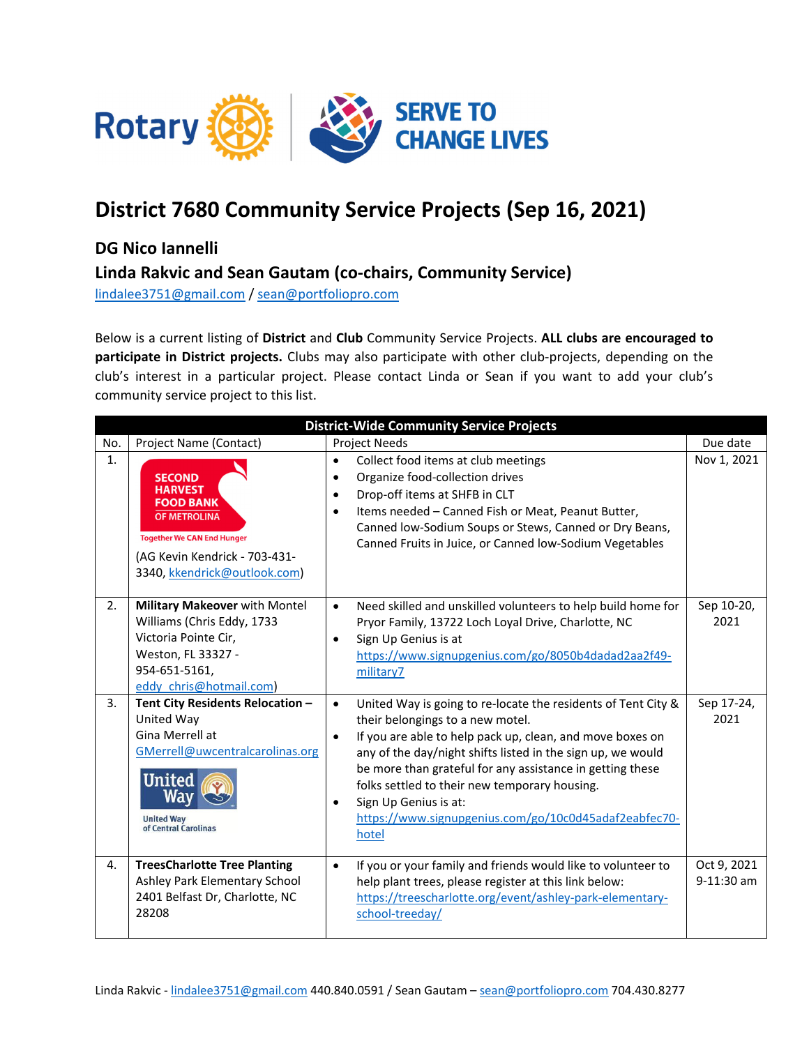

## **District 7680 Community Service Projects (Sep 16, 2021)**

## **DG Nico Iannelli**

**Linda Rakvic and Sean Gautam (co‐chairs, Community Service)**

lindalee3751@gmail.com / sean@portfoliopro.com

Below is a current listing of **District** and **Club** Community Service Projects. **ALL clubs are encouraged to participate in District projects.** Clubs may also participate with other club‐projects, depending on the club's interest in a particular project. Please contact Linda or Sean if you want to add your club's community service project to this list.

| <b>District-Wide Community Service Projects</b> |                                                                                                                                                                                  |                                                                                                                                                                                                                                                                                                                                                                                                                                                                               |                           |  |  |
|-------------------------------------------------|----------------------------------------------------------------------------------------------------------------------------------------------------------------------------------|-------------------------------------------------------------------------------------------------------------------------------------------------------------------------------------------------------------------------------------------------------------------------------------------------------------------------------------------------------------------------------------------------------------------------------------------------------------------------------|---------------------------|--|--|
| No.                                             | Project Name (Contact)                                                                                                                                                           | <b>Project Needs</b>                                                                                                                                                                                                                                                                                                                                                                                                                                                          | Due date                  |  |  |
| $\mathbf{1}$ .                                  | <b>SECOND</b><br><b>HARVEST</b><br><b>FOOD BANK</b><br><b>OF METROLINA</b><br><b>Together We CAN End Hunger</b><br>(AG Kevin Kendrick - 703-431-<br>3340, kkendrick@outlook.com) | Collect food items at club meetings<br>$\bullet$<br>Organize food-collection drives<br>$\bullet$<br>Drop-off items at SHFB in CLT<br>$\bullet$<br>Items needed - Canned Fish or Meat, Peanut Butter,<br>$\bullet$<br>Canned low-Sodium Soups or Stews, Canned or Dry Beans,<br>Canned Fruits in Juice, or Canned low-Sodium Vegetables                                                                                                                                        | Nov 1, 2021               |  |  |
| 2.                                              | Military Makeover with Montel<br>Williams (Chris Eddy, 1733<br>Victoria Pointe Cir,<br>Weston, FL 33327 -<br>954-651-5161,<br>eddy chris@hotmail.com)                            | Need skilled and unskilled volunteers to help build home for<br>$\bullet$<br>Pryor Family, 13722 Loch Loyal Drive, Charlotte, NC<br>Sign Up Genius is at<br>$\bullet$<br>https://www.signupgenius.com/go/8050b4dadad2aa2f49-<br>military7                                                                                                                                                                                                                                     | Sep 10-20,<br>2021        |  |  |
| 3.                                              | Tent City Residents Relocation -<br>United Way<br>Gina Merrell at<br>GMerrell@uwcentralcarolinas.org<br><b>United</b><br><b>United Way</b><br>of Central Carolinas               | United Way is going to re-locate the residents of Tent City &<br>$\bullet$<br>their belongings to a new motel.<br>If you are able to help pack up, clean, and move boxes on<br>$\bullet$<br>any of the day/night shifts listed in the sign up, we would<br>be more than grateful for any assistance in getting these<br>folks settled to their new temporary housing.<br>Sign Up Genius is at:<br>$\bullet$<br>https://www.signupgenius.com/go/10c0d45adaf2eabfec70-<br>hotel | Sep 17-24,<br>2021        |  |  |
| 4.                                              | <b>TreesCharlotte Tree Planting</b><br>Ashley Park Elementary School<br>2401 Belfast Dr, Charlotte, NC<br>28208                                                                  | If you or your family and friends would like to volunteer to<br>$\bullet$<br>help plant trees, please register at this link below:<br>https://treescharlotte.org/event/ashley-park-elementary-<br>school-treeday/                                                                                                                                                                                                                                                             | Oct 9, 2021<br>9-11:30 am |  |  |